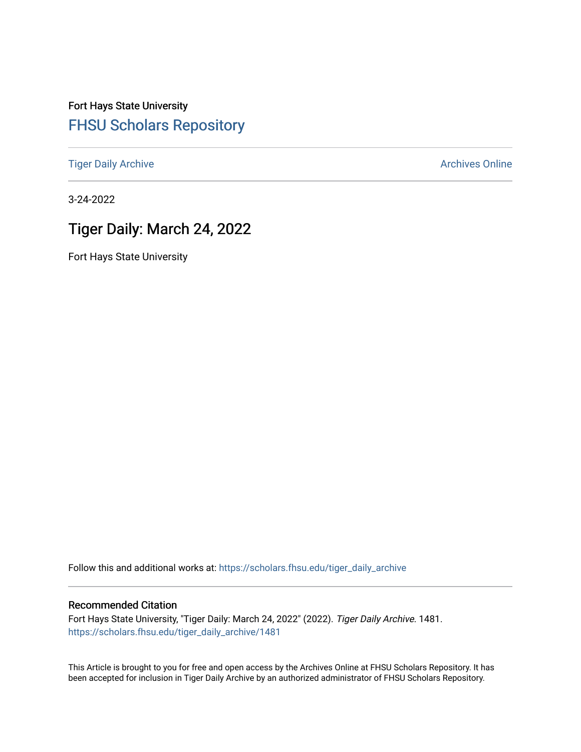Fort Hays State University [FHSU Scholars Repository](https://scholars.fhsu.edu/) 

[Tiger Daily Archive](https://scholars.fhsu.edu/tiger_daily_archive) **Archives** Online Archives Online

3-24-2022

# Tiger Daily: March 24, 2022

Fort Hays State University

Follow this and additional works at: [https://scholars.fhsu.edu/tiger\\_daily\\_archive](https://scholars.fhsu.edu/tiger_daily_archive?utm_source=scholars.fhsu.edu%2Ftiger_daily_archive%2F1481&utm_medium=PDF&utm_campaign=PDFCoverPages)

### Recommended Citation

Fort Hays State University, "Tiger Daily: March 24, 2022" (2022). Tiger Daily Archive. 1481. [https://scholars.fhsu.edu/tiger\\_daily\\_archive/1481](https://scholars.fhsu.edu/tiger_daily_archive/1481?utm_source=scholars.fhsu.edu%2Ftiger_daily_archive%2F1481&utm_medium=PDF&utm_campaign=PDFCoverPages)

This Article is brought to you for free and open access by the Archives Online at FHSU Scholars Repository. It has been accepted for inclusion in Tiger Daily Archive by an authorized administrator of FHSU Scholars Repository.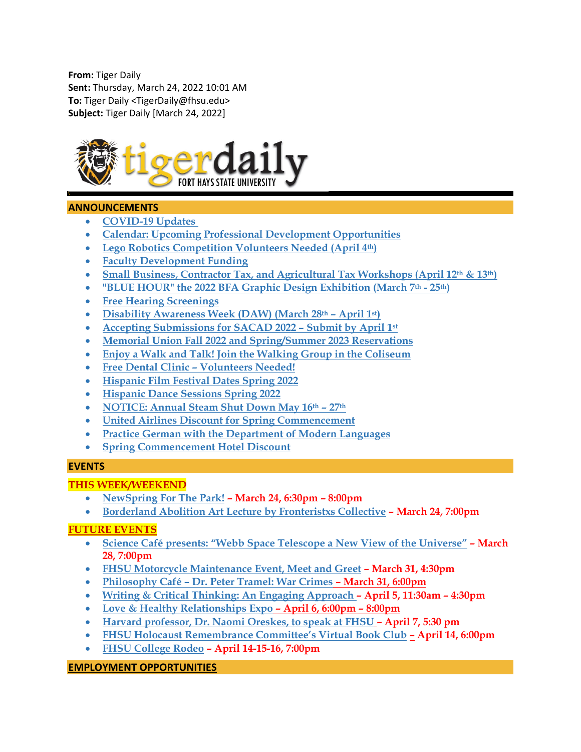**From:** Tiger Daily **Sent:** Thursday, March 24, 2022 10:01 AM **To:** Tiger Daily <TigerDaily@fhsu.edu> **Subject:** Tiger Daily [March 24, 2022]



# **ANNOUNCEMENTS**

- **[COVID-19 Updates](#page-2-0)**
- **[Calendar: Upcoming Professional Development Opportunities](#page-2-1)**
- **[Lego Robotics Competition Volunteers Needed \(April 4th\)](#page-2-2)**
- **[Faculty Development Funding](#page-3-0)**
- **[Small Business, Contractor Tax, and Agricultural Tax Workshops \(April 12th](#page-3-1) & 13th)**
- **"BLUE HOUR" the 2022 [BFA Graphic Design Exhibition \(March 7th](#page-4-0) - 25th)**
- **[Free Hearing Screenings](#page-4-1)**
- **[Disability Awareness Week \(DAW\) \(March 28th](#page-4-2) – April 1st)**
- **[Accepting Submissions for SACAD 2022 –](#page-5-0) Submit by April 1st**
- **[Memorial Union Fall 2022 and Spring/Summer 2023 Reservations](#page-5-1)**
- **[Enjoy a Walk and Talk! Join the Walking Group in the Coliseum](#page-5-2)**
- **Free Dental Clinic – [Volunteers Needed!](#page-5-3)**
- **[Hispanic Film Festival Dates Spring 2022](#page-6-0)**
- **[Hispanic Dance Sessions Spring 2022](#page-6-1)**
- **[NOTICE: Annual Steam Shut Down May 16th](#page-7-0) – 27th**
- **[United Airlines Discount for Spring Commencement](#page-8-0)**
- **[Practice German with the Department of Modern Languages](#page-8-1)**
- **[Spring Commencement Hotel Discount](#page-9-0)**

### **EVENTS**

# **THIS WEEK/WEEKEND**

- **[NewSpring For The Park!](#page-9-1) – March 24, 6:30pm – 8:00pm**
- **[Borderland Abolition Art Lecture by Fronteristxs Collective](#page-9-2) – March 24, 7:00pm**

# **FUTURE EVENTS**

- **[Science Café presents: "Webb Space Telescope a New View of the Universe"](#page-9-3) – March 28, 7:00pm**
- **[FHSU Motorcycle Maintenance Event, Meet and Greet](#page-10-0) – March 31, 4:30pm**
- **Philosophy Café – [Dr. Peter Tramel: War Crimes](#page-10-1) – March 31, 6:00pm**
- **[Writing & Critical Thinking: An Engaging Approach](#page-10-2) – April 5, 11:30am – 4:30pm**
- **[Love & Healthy Relationships Expo](#page-11-0) – April 6, 6:00pm – 8:00pm**
- **[Harvard professor, Dr. Naomi Oreskes, to speak at FHSU](#page-11-1) – April 7, 5:30 pm**
- **[FHSU Holocaust Remembrance Committee's Virtual Book Club](#page-12-0) – April 14, 6:00pm**
- **[FHSU College Rodeo](#page-12-1) – April 14-15-16, 7:00pm**

### **EMPLOYMENT OPPORTUNITIES**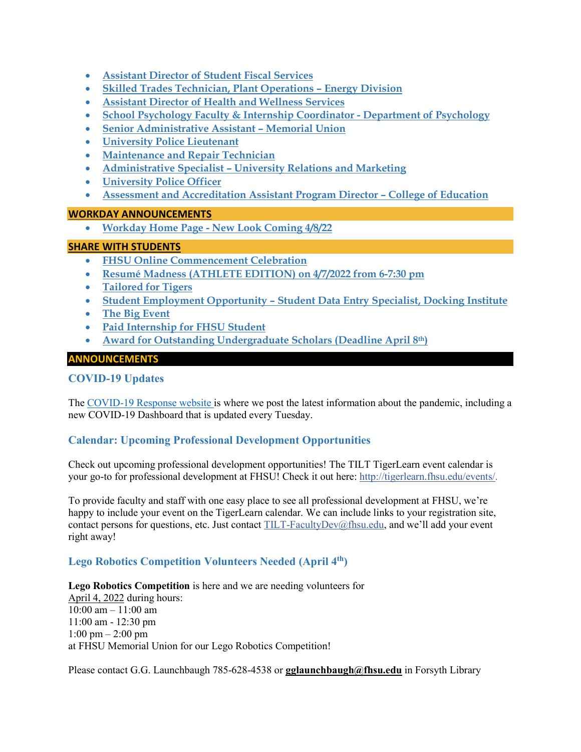- **[Assistant Director of Student Fiscal Services](#page-12-2)**
- **[Skilled Trades Technician, Plant Operations –](#page-13-0) Energy Division**
- **[Assistant Director of Health and Wellness Services](#page-13-1)**
- **[School Psychology Faculty & Internship Coordinator -](#page-14-0) Department of Psychology**
- **[Senior Administrative Assistant –](#page-15-0) Memorial Union**
- **[University Police Lieutenant](#page-15-1)**
- **[Maintenance and Repair Technician](#page-16-0)**
- **Administrative Specialist – [University Relations and Marketing](#page-17-0)**
- **[University Police Officer](#page-17-1)**
- **[Assessment and Accreditation Assistant Program Director –](#page-18-0) College of Education**

### **WORKDAY ANNOUNCEMENTS**

• **Workday Home Page - [New Look Coming 4/8/22](#page-19-0)**

# **SHARE WITH STUDENTS**

- **[FHSU Online Commencement Celebration](#page-19-1)**
- **[Resumé Madness \(ATHLETE EDITION\) on 4/7/2022 from 6-7:30 pm](#page-19-2)**
- **[Tailored for Tigers](#page-19-3)**
- **Student Employment Opportunity – [Student Data Entry Specialist, Docking Institute](#page-19-4)**
- **[The Big Event](#page-20-0)**
- **[Paid Internship for FHSU Student](#page-20-1)**
- **[Award for Outstanding Undergraduate Scholars \(Deadline April 8th\)](#page-20-2)**

# **ANNOUNCEMENTS**

# <span id="page-2-0"></span>**COVID-19 Updates**

The [COVID-19 Response website](https://www.fhsu.edu/covid-19-response/index) is where we post the latest information about the pandemic, including a new COVID-19 Dashboard that is updated every Tuesday.

# <span id="page-2-1"></span>**Calendar: Upcoming Professional Development Opportunities**

Check out upcoming professional development opportunities! The TILT TigerLearn event calendar is your go-to for professional development at FHSU! Check it out here: [http://tigerlearn.fhsu.edu/events/.](http://tigerlearn.fhsu.edu/events/)

To provide faculty and staff with one easy place to see all professional development at FHSU, we're happy to include your event on the TigerLearn calendar. We can include links to your registration site, contact persons for questions, etc. Just contact [TILT-FacultyDev@fhsu.edu,](mailto:TILT-FacultyDev@fhsu.edu) and we'll add your event right away!

# <span id="page-2-2"></span>**Lego Robotics Competition Volunteers Needed (April 4th)**

**Lego Robotics Competition** is here and we are needing volunteers for April 4, 2022 during hours:  $10:00$  am  $- 11:00$  am 11:00 am - 12:30 pm 1:00 pm – 2:00 pm at FHSU Memorial Union for our Lego Robotics Competition!

Please contact G.G. Launchbaugh 785-628-4538 or **[gglaunchbaugh@fhsu.edu](mailto:gglaunchbaugh@fhsu.edu)** in Forsyth Library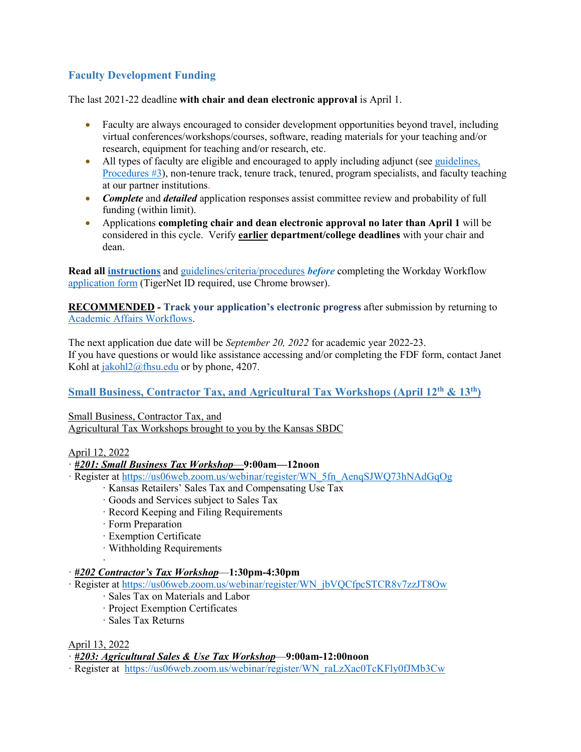# <span id="page-3-0"></span>**Faculty Development Funding**

The last 2021-22 deadline **with chair and dean electronic approval** is April 1.

- Faculty are always encouraged to consider development opportunities beyond travel, including virtual conferences/workshops/courses, software, reading materials for your teaching and/or research, equipment for teaching and/or research, etc.
- All types of faculty are eligible and encouraged to apply including adjunct (see guidelines, [Procedures #3\)](https://www.fhsu.edu/academic/provost/faculty_dev_fund/index), non-tenure track, tenure track, tenured, program specialists, and faculty teaching at our partner institutions.
- *Complete* and *detailed* application responses assist committee review and probability of full funding (within limit).
- Applications **completing chair and dean electronic approval no later than April 1** will be considered in this cycle. Verify **earlier department/college deadlines** with your chair and dean.

**Read all [instructions](https://www.fhsu.edu/academic/provost/documents/fdf-instructions-workday-form.pdf)** and [guidelines/criteria/procedures](https://www.fhsu.edu/academic/provost/faculty_dev_fund/index) *before* completing the Workday Workflow [application form](https://hub.fhsu.edu/sites/workflow/AcademicAffairs/FacultyDevelopmentFundingForm/Forms/AllItems.aspx) (TigerNet ID required, use Chrome browser).

**RECOMMENDED - Track your application's electronic progress** after submission by returning to [Academic Affairs Workflows.](https://hub.fhsu.edu/sites/workflow/AcademicAffairs/Pages/Default.aspx)

The next application due date will be *September 20, 2022* for academic year 2022-23. If you have questions or would like assistance accessing and/or completing the FDF form, contact Janet Kohl at [jakohl2@fhsu.edu](mailto:jakohl2@fhsu.edu) or by phone, 4207.

<span id="page-3-1"></span>**Small Business, Contractor Tax, and Agricultural Tax Workshops (April 12<sup>th</sup> & 13<sup>th</sup>)** 

Small Business, Contractor Tax, and Agricultural Tax Workshops brought to you by the Kansas SBDC

# April 12, 2022

- · *#201: Small Business Tax Workshop*—**9:00am—12noon**
- · Register at [https://us06web.zoom.us/webinar/register/WN\\_5fn\\_AenqSJWQ73hNAdGqOg](https://us06web.zoom.us/webinar/register/WN_5fn_AenqSJWQ73hNAdGqOg)
	- · Kansas Retailers' Sales Tax and Compensating Use Tax
	- · Goods and Services subject to Sales Tax
	- · Record Keeping and Filing Requirements
	- · Form Preparation
	- · Exemption Certificate
	- · Withholding Requirements

#### · · *#202 Contractor's Tax Workshop*—**1:30pm-4:30pm**

- · Register at [https://us06web.zoom.us/webinar/register/WN\\_jbVQCfpcSTCR8v7zzJT8Ow](https://us06web.zoom.us/webinar/register/WN_jbVQCfpcSTCR8v7zzJT8Ow)
	- · Sales Tax on Materials and Labor
	- · Project Exemption Certificates
	- · Sales Tax Returns

### April 13, 2022

· *#203: Agricultural Sales & Use Tax Workshop*—**9:00am-12:00noon**

· Register at [https://us06web.zoom.us/webinar/register/WN\\_raLzXac0TcKFly0fJMb3Cw](https://us06web.zoom.us/webinar/register/WN_raLzXac0TcKFly0fJMb3Cw)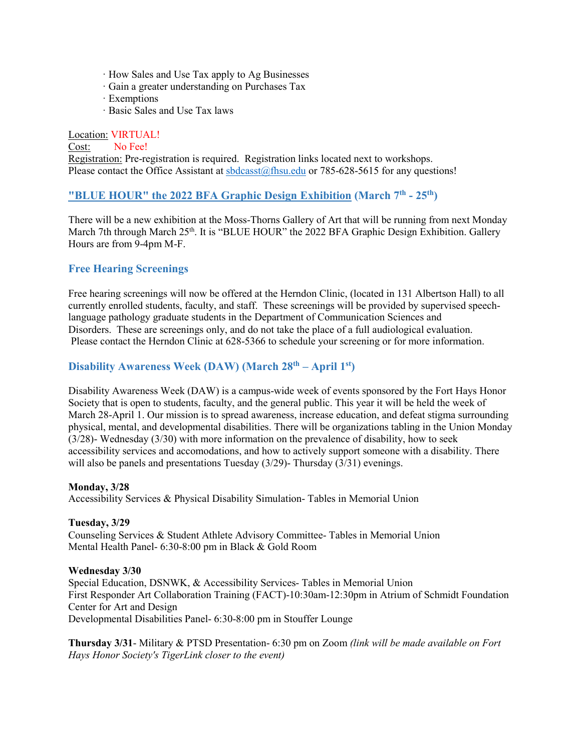- · How Sales and Use Tax apply to Ag Businesses
- · Gain a greater understanding on Purchases Tax
- · Exemptions
- · Basic Sales and Use Tax laws

Location: VIRTUAL! Cost: No Fee! Registration: Pre-registration is required. Registration links located next to workshops. Please contact the Office Assistant at [sbdcasst@fhsu.edu](mailto:sbdcasst@fhsu.edu) or 785-628-5615 for any questions!

# <span id="page-4-0"></span>**"BLUE HOUR" the 2022 [BFA Graphic Design Exhibition](#page-4-0) (March 7th - 25th)**

There will be a new exhibition at the Moss-Thorns Gallery of Art that will be running from next Monday March 7th through March 25<sup>th</sup>. It is "BLUE HOUR" the 2022 BFA Graphic Design Exhibition. Gallery Hours are from 9-4pm M-F.

# <span id="page-4-1"></span>**Free Hearing Screenings**

Free hearing screenings will now be offered at the Herndon Clinic, (located in 131 Albertson Hall) to all currently enrolled students, faculty, and staff. These screenings will be provided by supervised speechlanguage pathology graduate students in the Department of Communication Sciences and Disorders. These are screenings only, and do not take the place of a full audiological evaluation. Please contact the Herndon Clinic at 628-5366 to schedule your screening or for more information.

# <span id="page-4-2"></span>**Disability Awareness Week (DAW) (March 28th – April 1st)**

Disability Awareness Week (DAW) is a campus-wide week of events sponsored by the Fort Hays Honor Society that is open to students, faculty, and the general public. This year it will be held the week of March 28-April 1. Our mission is to spread awareness, increase education, and defeat stigma surrounding physical, mental, and developmental disabilities. There will be organizations tabling in the Union Monday (3/28)- Wednesday (3/30) with more information on the prevalence of disability, how to seek accessibility services and accomodations, and how to actively support someone with a disability. There will also be panels and presentations Tuesday (3/29)- Thursday (3/31) evenings.

### **Monday, 3/28**

Accessibility Services & Physical Disability Simulation- Tables in Memorial Union

### **Tuesday, 3/29**

Counseling Services & Student Athlete Advisory Committee- Tables in Memorial Union Mental Health Panel- 6:30-8:00 pm in Black & Gold Room

### **Wednesday 3/30**

Special Education, DSNWK, & Accessibility Services- Tables in Memorial Union First Responder Art Collaboration Training (FACT)-10:30am-12:30pm in Atrium of Schmidt Foundation Center for Art and Design Developmental Disabilities Panel- 6:30-8:00 pm in Stouffer Lounge

**Thursday 3/31**- Military & PTSD Presentation- 6:30 pm on Zoom *(link will be made available on Fort Hays Honor Society's TigerLink closer to the event)*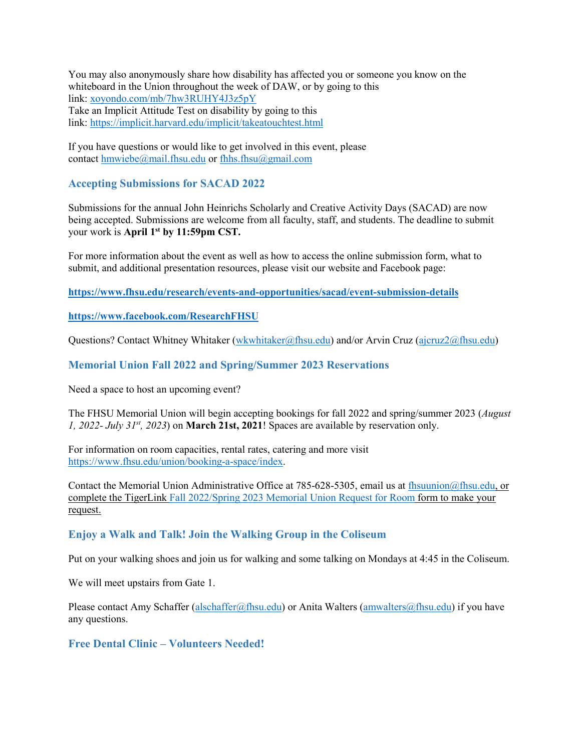You may also anonymously share how disability has affected you or someone you know on the whiteboard in the Union throughout the week of DAW, or by going to this link: [xoyondo.com/mb/7hw3RUHY4J3z5pY](https://linkprotect.cudasvc.com/url?a=http%3a%2f%2fxoyondo.com%2fmb%2f7hw3RUHY4J3z5pY&c=E,1,nq0DKKTsfkekXeq0xd47MJaGqTbS3oduR5nqUADaodPRnmSijgRwkeMW9NB6Y_sW_HVE3fuXKN5BpMiidfvMJ0H2KikJppRXqJS8MNgV&typo=1) Take an Implicit Attitude Test on disability by going to this link: <https://implicit.harvard.edu/implicit/takeatouchtest.html>

If you have questions or would like to get involved in this event, please contact [hmwiebe@mail.fhsu.edu](mailto:hmwiebe@mail.fhsu.edu) or [fhhs.fhsu@gmail.com](mailto:fhhs.fhsu@gmail.com)

# <span id="page-5-0"></span>**Accepting Submissions for SACAD 2022**

Submissions for the annual John Heinrichs Scholarly and Creative Activity Days (SACAD) are now being accepted. Submissions are welcome from all faculty, staff, and students. The deadline to submit your work is **April 1st by 11:59pm CST.**

For more information about the event as well as how to access the online submission form, what to submit, and additional presentation resources, please visit our website and Facebook page:

**<https://www.fhsu.edu/research/events-and-opportunities/sacad/event-submission-details>**

**<https://www.facebook.com/ResearchFHSU>**

Questions? Contact Whitney Whitaker [\(wkwhitaker@fhsu.edu\)](mailto:wkwhitaker@fhsu.edu) and/or Arvin Cruz [\(ajcruz2@fhsu.edu\)](mailto:ajcruz2@fhsu.edu)

# <span id="page-5-1"></span>**Memorial Union Fall 2022 and Spring/Summer 2023 Reservations**

Need a space to host an upcoming event?

The FHSU Memorial Union will begin accepting bookings for fall 2022 and spring/summer 2023 (*August 1, 2022- July 31st, 2023*) on **March 21st, 2021**! Spaces are available by reservation only.

For information on room capacities, rental rates, catering and more visit [https://www.fhsu.edu/union/booking-a-space/index.](https://www.fhsu.edu/union/booking-a-space/index)

Contact the Memorial Union Administrative Office at 785-628-5305, email us at [fhsuunion@fhsu.edu,](mailto:fhsuunion@fhsu.edu) or complete the TigerLin[k Fall 2022/Spring 2023 Memorial Union Request for Room](https://tigerlink.fhsu.edu/submitter/form/start/525502) form to make your request.

# <span id="page-5-2"></span>**Enjoy a Walk and Talk! Join the Walking Group in the Coliseum**

Put on your walking shoes and join us for walking and some talking on Mondays at 4:45 in the Coliseum.

We will meet upstairs from Gate 1.

Please contact Amy Schaffer [\(alschaffer@fhsu.edu\)](mailto:alschaffer@fhsu.edu) or Anita Walters [\(amwalters@fhsu.edu\)](mailto:amwalters@fhsu.edu) if you have any questions.

# <span id="page-5-3"></span>**Free Dental Clinic – Volunteers Needed!**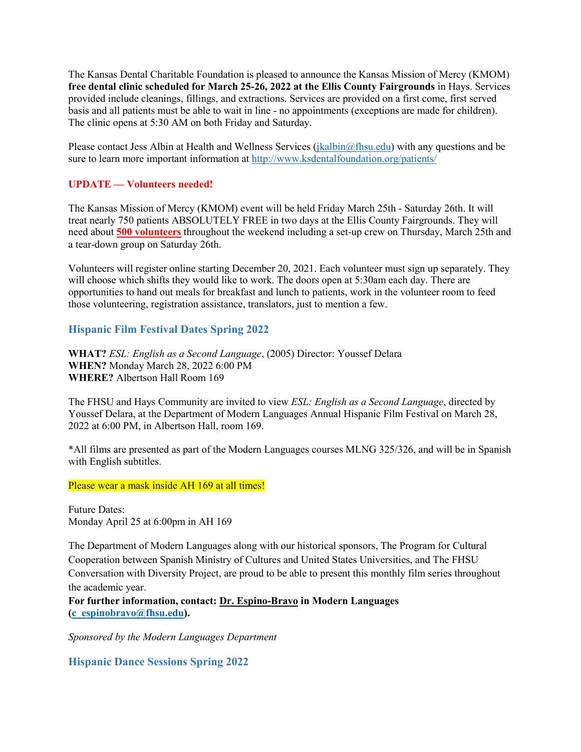The Kansas Dental Charitable Foundation is pleased to announce the Kansas Mission of Mercy (KMOM) **free dental clinic scheduled for March 25-26, 2022 at the Ellis County Fairgrounds** in Hays. Services provided include cleanings, fillings, and extractions. Services are provided on a first come, first served basis and all patients must be able to wait in line - no appointments (exceptions are made for children). The clinic opens at 5:30 AM on both Friday and Saturday.

Please contact Jess Albin at Health and Wellness Services [\(jkalbin@fhsu.edu\)](mailto:jkalbin@fhsu.edu) with any questions and be sure to learn more important information at<http://www.ksdentalfoundation.org/patients/>

### **UPDATE — Volunteers needed!**

The Kansas Mission of Mercy (KMOM) event will be held Friday March 25th - Saturday 26th. It will treat nearly 750 patients ABSOLUTELY FREE in two days at the Ellis County Fairgrounds. They will need about **500 volunteers** throughout the weekend including a set-up crew on Thursday, March 25th and a tear-down group on Saturday 26th.

Volunteers will register online starting December 20, 2021. Each volunteer must sign up separately. They will choose which shifts they would like to work. The doors open at 5:30am each day. There are opportunities to hand out meals for breakfast and lunch to patients, work in the volunteer room to feed those volunteering, registration assistance, translators, just to mention a few.

# <span id="page-6-0"></span>**Hispanic Film Festival Dates Spring 2022**

**WHAT?** *ESL: English as a Second Language*, (2005) Director: Youssef Delara **WHEN?** Monday March 28, 2022 6:00 PM **WHERE?** Albertson Hall Room 169

The FHSU and Hays Community are invited to view *ESL: English as a Second Language*, directed by Youssef Delara, at the Department of Modern Languages Annual Hispanic Film Festival on March 28, 2022 at 6:00 PM, in Albertson Hall, room 169.

\*All films are presented as part of the Modern Languages courses MLNG 325/326, and will be in Spanish with English subtitles.

Please wear a mask inside AH 169 at all times!

Future Dates: Monday April 25 at 6:00pm in AH 169

The Department of Modern Languages along with our historical sponsors, The Program for Cultural Cooperation between Spanish Ministry of Cultures and United States Universities, and The FHSU Conversation with Diversity Project, are proud to be able to present this monthly film series throughout the academic year.

**For further information, contact: Dr. Espino-Bravo in Modern Languages [\(c\\_espinobravo@fhsu.edu\)](mailto:c_espinobravo@fhsu.edu).**

*Sponsored by the Modern Languages Department*

<span id="page-6-1"></span>**Hispanic Dance Sessions Spring 2022**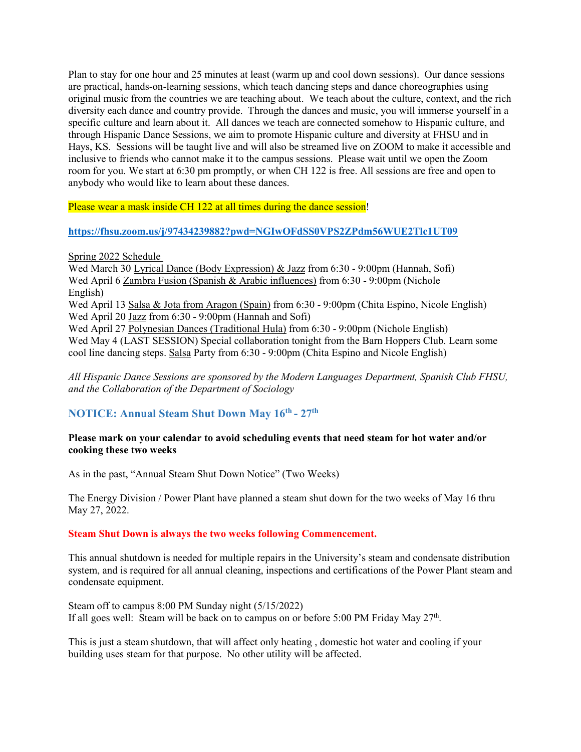Plan to stay for one hour and 25 minutes at least (warm up and cool down sessions). Our dance sessions are practical, hands-on-learning sessions, which teach dancing steps and dance choreographies using original music from the countries we are teaching about. We teach about the culture, context, and the rich diversity each dance and country provide. Through the dances and music, you will immerse yourself in a specific culture and learn about it. All dances we teach are connected somehow to Hispanic culture, and through Hispanic Dance Sessions, we aim to promote Hispanic culture and diversity at FHSU and in Hays, KS. Sessions will be taught live and will also be streamed live on ZOOM to make it accessible and inclusive to friends who cannot make it to the campus sessions. Please wait until we open the Zoom room for you. We start at 6:30 pm promptly, or when CH 122 is free. All sessions are free and open to anybody who would like to learn about these dances.

Please wear a mask inside CH 122 at all times during the dance session!

### **<https://fhsu.zoom.us/j/97434239882?pwd=NGIwOFdSS0VPS2ZPdm56WUE2Tlc1UT09>**

Spring 2022 Schedule

Wed March 30 Lyrical Dance (Body Expression) & Jazz from 6:30 - 9:00pm (Hannah, Sofi) Wed April 6 Zambra Fusion (Spanish & Arabic influences) from 6:30 - 9:00pm (Nichole English) Wed April 13 Salsa & Jota from Aragon (Spain) from 6:30 - 9:00pm (Chita Espino, Nicole English) Wed April 20 Jazz from 6:30 - 9:00pm (Hannah and Sofi) Wed April 27 Polynesian Dances (Traditional Hula) from 6:30 - 9:00pm (Nichole English) Wed May 4 (LAST SESSION) Special collaboration tonight from the Barn Hoppers Club. Learn some cool line dancing steps. Salsa Party from 6:30 - 9:00pm (Chita Espino and Nicole English)

*All Hispanic Dance Sessions are sponsored by the Modern Languages Department, Spanish Club FHSU, and the Collaboration of the Department of Sociology*

# <span id="page-7-0"></span>**NOTICE: Annual Steam Shut Down May 16th - 27th**

### **Please mark on your calendar to avoid scheduling events that need steam for hot water and/or cooking these two weeks**

As in the past, "Annual Steam Shut Down Notice" (Two Weeks)

The Energy Division / Power Plant have planned a steam shut down for the two weeks of May 16 thru May 27, 2022.

#### **Steam Shut Down is always the two weeks following Commencement.**

This annual shutdown is needed for multiple repairs in the University's steam and condensate distribution system, and is required for all annual cleaning, inspections and certifications of the Power Plant steam and condensate equipment.

Steam off to campus 8:00 PM Sunday night (5/15/2022) If all goes well: Steam will be back on to campus on or before 5:00 PM Friday May  $27<sup>th</sup>$ .

This is just a steam shutdown, that will affect only heating , domestic hot water and cooling if your building uses steam for that purpose. No other utility will be affected.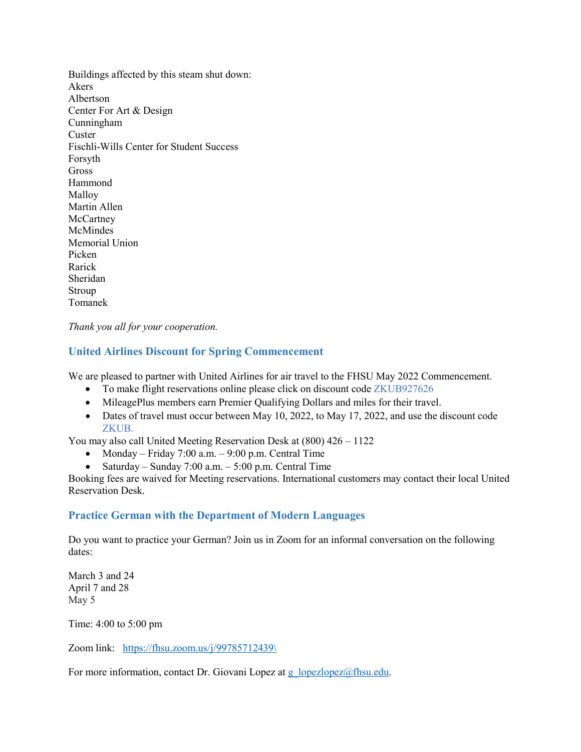Buildings affected by this steam shut down: Akers Albertson Center For Art & Design Cunningham **Custer** Fischli-Wills Center for Student Success Forsyth Gross Hammond Malloy Martin Allen **McCartney** McMindes Memorial Union Picken Rarick Sheridan Stroup Tomanek

*Thank you all for your cooperation.*

# <span id="page-8-0"></span>**United Airlines Discount for Spring Commencement**

We are pleased to partner with United Airlines for air travel to the FHSU May 2022 Commencement.

- To make flight reservations online please click on discount code ZKUB927626
- MileagePlus members earn Premier Qualifying Dollars and miles for their travel.
- Dates of travel must occur between May 10, 2022, to May 17, 2022, and use the discount code ZKUB.

You may also call United Meeting Reservation Desk at (800) 426 – 1122

- Monday Friday 7:00 a.m. 9:00 p.m. Central Time
- Saturday Sunday 7:00 a.m. 5:00 p.m. Central Time

Booking fees are waived for Meeting reservations. International customers may contact their local United Reservation Desk.

### <span id="page-8-1"></span>**Practice German with the Department of Modern Languages**

Do you want to practice your German? Join us in Zoom for an informal conversation on the following dates:

March 3 and 24 April 7 and 28 May 5

Time: 4:00 to 5:00 pm

Zoom link: [https://fhsu.zoom.us/j/99785712439\](https://fhsu.zoom.us/j/99785712439/)

For more information, contact Dr. Giovani Lopez at g\_lopezlopez $@$ fhsu.edu.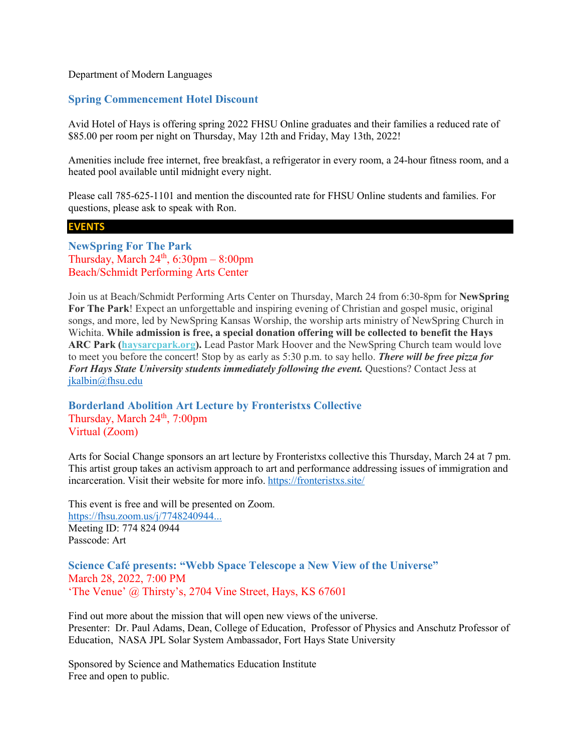#### Department of Modern Languages

### <span id="page-9-0"></span>**Spring Commencement Hotel Discount**

Avid Hotel of Hays is offering spring 2022 FHSU Online graduates and their families a reduced rate of \$85.00 per room per night on Thursday, May 12th and Friday, May 13th, 2022!

Amenities include free internet, free breakfast, a refrigerator in every room, a 24-hour fitness room, and a heated pool available until midnight every night.

Please call 785-625-1101 and mention the discounted rate for FHSU Online students and families. For questions, please ask to speak with Ron.

#### **EVENTS**

<span id="page-9-1"></span>**NewSpring For The Park** Thursday, March  $24<sup>th</sup>$ , 6:30pm – 8:00pm Beach/Schmidt Performing Arts Center

Join us at Beach/Schmidt Performing Arts Center on Thursday, March 24 from 6:30-8pm for **NewSpring For The Park**! Expect an unforgettable and inspiring evening of Christian and gospel music, original songs, and more, led by NewSpring Kansas Worship, the worship arts ministry of NewSpring Church in Wichita. **While admission is free, a special donation offering will be collected to benefit the Hays ARC Park [\(haysarcpark.org\)](http://haysarcpark.org/).** Lead Pastor Mark Hoover and the NewSpring Church team would love to meet you before the concert! Stop by as early as 5:30 p.m. to say hello. *There will be free pizza for Fort Hays State University students immediately following the event.* Questions? Contact Jess at [jkalbin@fhsu.edu](mailto:jkalbin@fhsu.edu)

# <span id="page-9-2"></span>**Borderland Abolition Art Lecture by Fronteristxs Collective** Thursday, March  $24<sup>th</sup>$ , 7:00pm Virtual (Zoom)

Arts for Social Change sponsors an art lecture by Fronteristxs collective this Thursday, March 24 at 7 pm. This artist group takes an activism approach to art and performance addressing issues of immigration and incarceration. Visit their website for more info. [https://fronteristxs.site/](https://fronteristxs.site/?fbclid=IwAR1zgbYnIzeH0YNyWMgFI0dqQbYL6a_f0Tvmz_93WzVGgBBxSZJVk4Fbs8w)

This event is free and will be presented on Zoom. [https://fhsu.zoom.us/j/7748240944...](https://fhsu.zoom.us/j/7748240944?pwd=M1hqV1Z2c0ZVL3Q0K3ZsU2lteUs0Zz09&fbclid=IwAR1XJjNrtRJ54L-q7dDCaYE-l2mGZzN0oCmCk0aJQJIx555KAWe4QIVDKg4) Meeting ID: 774 824 0944 Passcode: Art

<span id="page-9-3"></span>**Science Café presents: "Webb Space Telescope a New View of the Universe"** March 28, 2022, 7:00 PM 'The Venue' @ Thirsty's, 2704 Vine Street, Hays, KS 67601

Find out more about the mission that will open new views of the universe. Presenter: Dr. Paul Adams, Dean, College of Education, Professor of Physics and Anschutz Professor of Education, NASA JPL Solar System Ambassador, Fort Hays State University

Sponsored by Science and Mathematics Education Institute Free and open to public.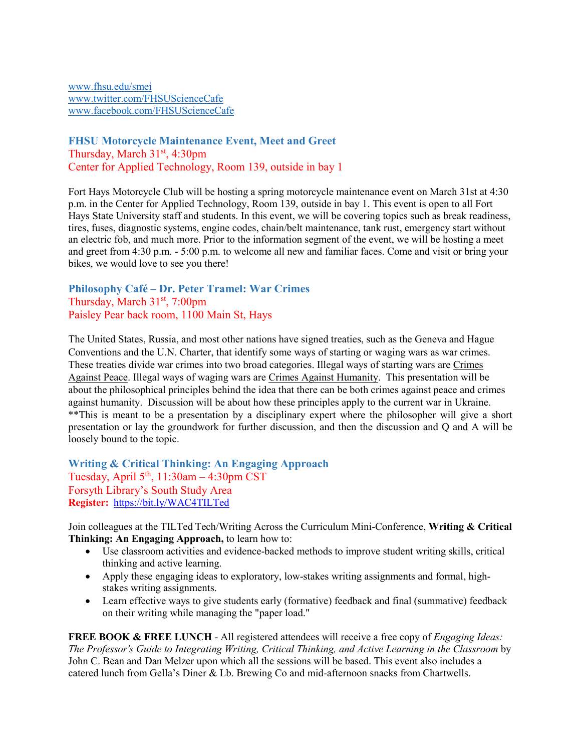[www.fhsu.edu/smei](http://www.fhsu.edu/smei) [www.twitter.com/FHSUScienceCafe](http://www.twitter.com/FHSUScienceCafe) [www.facebook.com/FHSUScienceCafe](http://www.facebook.com/FHSUScienceCafe)

# <span id="page-10-0"></span>**FHSU Motorcycle Maintenance Event, Meet and Greet** Thursday, March  $31<sup>st</sup>$ , 4:30pm Center for Applied Technology, Room 139, outside in bay 1

Fort Hays Motorcycle Club will be hosting a spring motorcycle maintenance event on March 31st at 4:30 p.m. in the Center for Applied Technology, Room 139, outside in bay 1. This event is open to all Fort Hays State University staff and students. In this event, we will be covering topics such as break readiness, tires, fuses, diagnostic systems, engine codes, chain/belt maintenance, tank rust, emergency start without an electric fob, and much more. Prior to the information segment of the event, we will be hosting a meet and greet from 4:30 p.m. - 5:00 p.m. to welcome all new and familiar faces. Come and visit or bring your bikes, we would love to see you there!

# <span id="page-10-1"></span>**Philosophy Café – Dr. Peter Tramel: War Crimes** Thursday, March 31<sup>st</sup>, 7:00pm Paisley Pear back room, 1100 Main St, Hays

The United States, Russia, and most other nations have signed treaties, such as the Geneva and Hague Conventions and the U.N. Charter, that identify some ways of starting or waging wars as war crimes. These treaties divide war crimes into two broad categories. Illegal ways of starting wars are Crimes Against Peace. Illegal ways of waging wars are Crimes Against Humanity. This presentation will be about the philosophical principles behind the idea that there can be both crimes against peace and crimes against humanity. Discussion will be about how these principles apply to the current war in Ukraine. \*\*This is meant to be a presentation by a disciplinary expert where the philosopher will give a short presentation or lay the groundwork for further discussion, and then the discussion and Q and A will be loosely bound to the topic.

<span id="page-10-2"></span>**Writing & Critical Thinking: An Engaging Approach** Tuesday, April  $5<sup>th</sup>$ , 11:30am – 4:30pm CST Forsyth Library's South Study Area **Register:** <https://bit.ly/WAC4TILTed>

Join colleagues at the TILTed Tech/Writing Across the Curriculum Mini-Conference, **Writing & Critical Thinking: An Engaging Approach,** to learn how to:

- Use classroom activities and evidence-backed methods to improve student writing skills, critical thinking and active learning.
- Apply these engaging ideas to exploratory, low-stakes writing assignments and formal, highstakes writing assignments.
- Learn effective ways to give students early (formative) feedback and final (summative) feedback on their writing while managing the "paper load."

**FREE BOOK & FREE LUNCH** - All registered attendees will receive a free copy of *Engaging Ideas: The Professor's Guide to Integrating Writing, Critical Thinking, and Active Learning in the Classroom* by John C. Bean and Dan Melzer upon which all the sessions will be based. This event also includes a catered lunch from Gella's Diner & Lb. Brewing Co and mid-afternoon snacks from Chartwells.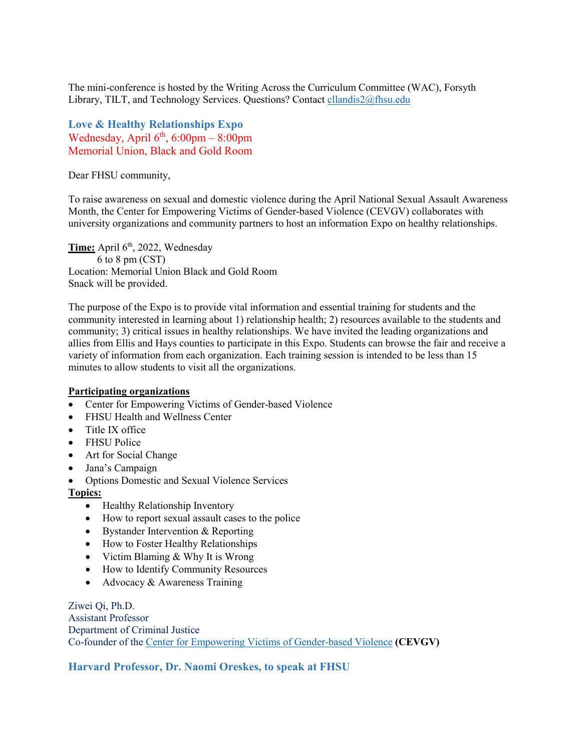The mini-conference is hosted by the Writing Across the Curriculum Committee (WAC), Forsyth Library, TILT, and Technology Services. Questions? Contact [cllandis2@fhsu.edu](mailto:cllandis2@fhsu.edu)

<span id="page-11-0"></span>**Love & Healthy Relationships Expo** Wednesday, April  $6<sup>th</sup>$ , 6:00pm – 8:00pm Memorial Union, Black and Gold Room

Dear FHSU community,

To raise awareness on sexual and domestic violence during the April National Sexual Assault Awareness Month, the Center for Empowering Victims of Gender-based Violence (CEVGV) collaborates with university organizations and community partners to host an information Expo on healthy relationships.

Time: April 6<sup>th</sup>, 2022, Wednesday 6 to 8 pm (CST) Location: Memorial Union Black and Gold Room Snack will be provided.

The purpose of the Expo is to provide vital information and essential training for students and the community interested in learning about 1) relationship health; 2) resources available to the students and community; 3) critical issues in healthy relationships. We have invited the leading organizations and allies from Ellis and Hays counties to participate in this Expo. Students can browse the fair and receive a variety of information from each organization. Each training session is intended to be less than 15 minutes to allow students to visit all the organizations.

#### **Participating organizations**

- Center for Empowering Victims of Gender-based Violence
- FHSU Health and Wellness Center
- Title IX office
- FHSU Police
- Art for Social Change
- Jana's Campaign
- Options Domestic and Sexual Violence Services

#### **Topics:**

- Healthy Relationship Inventory
- How to report sexual assault cases to the police
- Bystander Intervention & Reporting
- How to Foster Healthy Relationships
- Victim Blaming & Why It is Wrong
- How to Identify Community Resources
- Advocacy & Awareness Training

Ziwei Qi, Ph.D. Assistant Professor Department of Criminal Justice Co-founder of the [Center for Empowering Victims of Gender-based Violence](https://www.fhsu.edu/criminaljustice/center-for-empowering-victims-of-gender-based-violence/index) **(CEVGV)**

<span id="page-11-1"></span>**Harvard Professor, Dr. Naomi Oreskes, to speak at FHSU**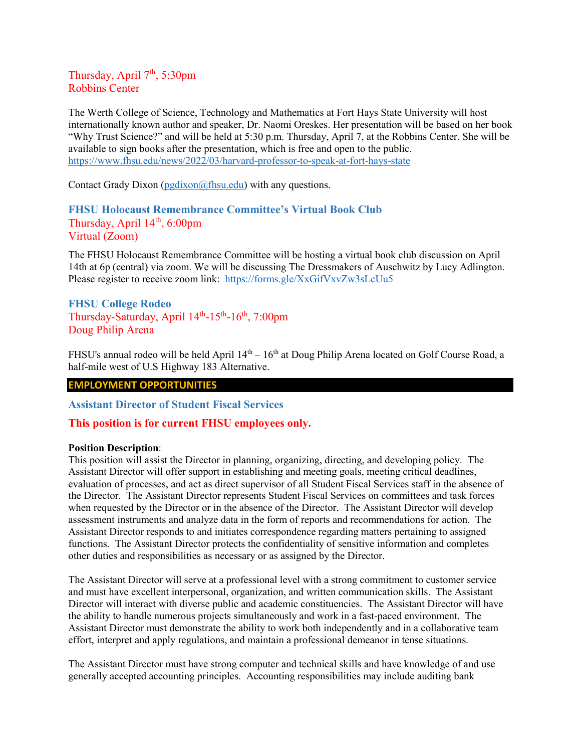### Thursday, April  $7<sup>th</sup>$ , 5:30pm Robbins Center

The Werth College of Science, Technology and Mathematics at Fort Hays State University will host internationally known author and speaker, Dr. Naomi Oreskes. Her presentation will be based on her book "Why Trust Science?" and will be held at 5:30 p.m. Thursday, April 7, at the Robbins Center. She will be available to sign books after the presentation, which is free and open to the public. <https://www.fhsu.edu/news/2022/03/harvard-professor-to-speak-at-fort-hays-state>

Contact Grady Dixon ( $pgdixon@fhsu.edu)$  with any questions.

# <span id="page-12-0"></span>**FHSU Holocaust Remembrance Committee's Virtual Book Club** Thursday, April  $14<sup>th</sup>$ , 6:00pm Virtual (Zoom)

The FHSU Holocaust Remembrance Committee will be hosting a virtual book club discussion on April 14th at 6p (central) via zoom. We will be discussing The Dressmakers of Auschwitz by Lucy Adlington. Please register to receive zoom link: <https://forms.gle/XxGifVxvZw3sLcUu5>

# <span id="page-12-1"></span>**FHSU College Rodeo** Thursday-Saturday, April  $14^{\text{th}}$ -15<sup>th</sup>-16<sup>th</sup>, 7:00pm Doug Philip Arena

FHSU's annual rodeo will be held April 14<sup>th</sup> – 16<sup>th</sup> at Doug Philip Arena located on Golf Course Road, a half-mile west of U.S Highway 183 Alternative.

### **EMPLOYMENT OPPORTUNITIES**

<span id="page-12-2"></span>**Assistant Director of Student Fiscal Services**

### **This position is for current FHSU employees only.**

#### **Position Description**:

This position will assist the Director in planning, organizing, directing, and developing policy. The Assistant Director will offer support in establishing and meeting goals, meeting critical deadlines, evaluation of processes, and act as direct supervisor of all Student Fiscal Services staff in the absence of the Director. The Assistant Director represents Student Fiscal Services on committees and task forces when requested by the Director or in the absence of the Director. The Assistant Director will develop assessment instruments and analyze data in the form of reports and recommendations for action. The Assistant Director responds to and initiates correspondence regarding matters pertaining to assigned functions. The Assistant Director protects the confidentiality of sensitive information and completes other duties and responsibilities as necessary or as assigned by the Director.

The Assistant Director will serve at a professional level with a strong commitment to customer service and must have excellent interpersonal, organization, and written communication skills. The Assistant Director will interact with diverse public and academic constituencies. The Assistant Director will have the ability to handle numerous projects simultaneously and work in a fast-paced environment. The Assistant Director must demonstrate the ability to work both independently and in a collaborative team effort, interpret and apply regulations, and maintain a professional demeanor in tense situations.

The Assistant Director must have strong computer and technical skills and have knowledge of and use generally accepted accounting principles. Accounting responsibilities may include auditing bank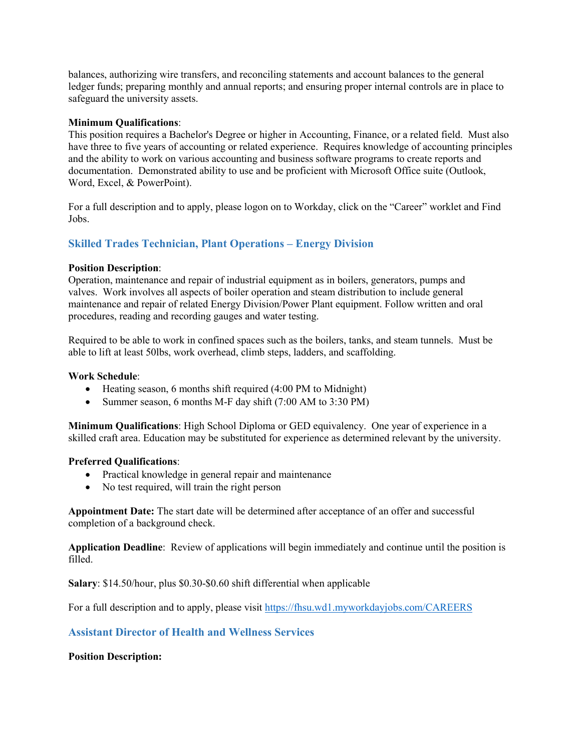balances, authorizing wire transfers, and reconciling statements and account balances to the general ledger funds; preparing monthly and annual reports; and ensuring proper internal controls are in place to safeguard the university assets.

### **Minimum Qualifications**:

This position requires a Bachelor's Degree or higher in Accounting, Finance, or a related field. Must also have three to five years of accounting or related experience. Requires knowledge of accounting principles and the ability to work on various accounting and business software programs to create reports and documentation. Demonstrated ability to use and be proficient with Microsoft Office suite (Outlook, Word, Excel, & PowerPoint).

For a full description and to apply, please logon on to Workday, click on the "Career" worklet and Find Jobs.

### <span id="page-13-0"></span>**Skilled Trades Technician, Plant Operations – Energy Division**

#### **Position Description**:

Operation, maintenance and repair of industrial equipment as in boilers, generators, pumps and valves. Work involves all aspects of boiler operation and steam distribution to include general maintenance and repair of related Energy Division/Power Plant equipment. Follow written and oral procedures, reading and recording gauges and water testing.

Required to be able to work in confined spaces such as the boilers, tanks, and steam tunnels. Must be able to lift at least 50lbs, work overhead, climb steps, ladders, and scaffolding.

#### **Work Schedule**:

- Heating season, 6 months shift required (4:00 PM to Midnight)
- Summer season, 6 months M-F day shift (7:00 AM to 3:30 PM)

**Minimum Qualifications**: High School Diploma or GED equivalency. One year of experience in a skilled craft area. Education may be substituted for experience as determined relevant by the university.

#### **Preferred Qualifications**:

- Practical knowledge in general repair and maintenance
- No test required, will train the right person

**Appointment Date:** The start date will be determined after acceptance of an offer and successful completion of a background check.

**Application Deadline**: Review of applications will begin immediately and continue until the position is filled.

**Salary**: \$14.50/hour, plus \$0.30-\$0.60 shift differential when applicable

For a full description and to apply, please visit<https://fhsu.wd1.myworkdayjobs.com/CAREERS>

### <span id="page-13-1"></span>**Assistant Director of Health and Wellness Services**

#### **Position Description:**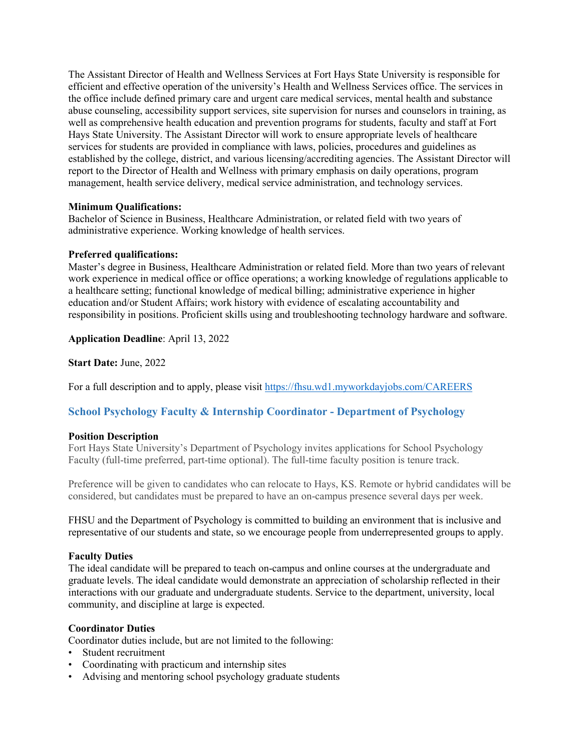The Assistant Director of Health and Wellness Services at Fort Hays State University is responsible for efficient and effective operation of the university's Health and Wellness Services office. The services in the office include defined primary care and urgent care medical services, mental health and substance abuse counseling, accessibility support services, site supervision for nurses and counselors in training, as well as comprehensive health education and prevention programs for students, faculty and staff at Fort Hays State University. The Assistant Director will work to ensure appropriate levels of healthcare services for students are provided in compliance with laws, policies, procedures and guidelines as established by the college, district, and various licensing/accrediting agencies. The Assistant Director will report to the Director of Health and Wellness with primary emphasis on daily operations, program management, health service delivery, medical service administration, and technology services.

### **Minimum Qualifications:**

Bachelor of Science in Business, Healthcare Administration, or related field with two years of administrative experience. Working knowledge of health services.

#### **Preferred qualifications:**

Master's degree in Business, Healthcare Administration or related field. More than two years of relevant work experience in medical office or office operations; a working knowledge of regulations applicable to a healthcare setting; functional knowledge of medical billing; administrative experience in higher education and/or Student Affairs; work history with evidence of escalating accountability and responsibility in positions. Proficient skills using and troubleshooting technology hardware and software.

**Application Deadline**: April 13, 2022

**Start Date:** June, 2022

For a full description and to apply, please visit<https://fhsu.wd1.myworkdayjobs.com/CAREERS>

# <span id="page-14-0"></span>**School Psychology Faculty & Internship Coordinator - Department of Psychology**

### **Position Description**

Fort Hays State University's Department of Psychology invites applications for School Psychology Faculty (full-time preferred, part-time optional). The full-time faculty position is tenure track.

Preference will be given to candidates who can relocate to Hays, KS. Remote or hybrid candidates will be considered, but candidates must be prepared to have an on-campus presence several days per week.

FHSU and the Department of Psychology is committed to building an environment that is inclusive and representative of our students and state, so we encourage people from underrepresented groups to apply.

### **Faculty Duties**

The ideal candidate will be prepared to teach on-campus and online courses at the undergraduate and graduate levels. The ideal candidate would demonstrate an appreciation of scholarship reflected in their interactions with our graduate and undergraduate students. Service to the department, university, local community, and discipline at large is expected.

#### **Coordinator Duties**

Coordinator duties include, but are not limited to the following:

- Student recruitment
- Coordinating with practicum and internship sites
- Advising and mentoring school psychology graduate students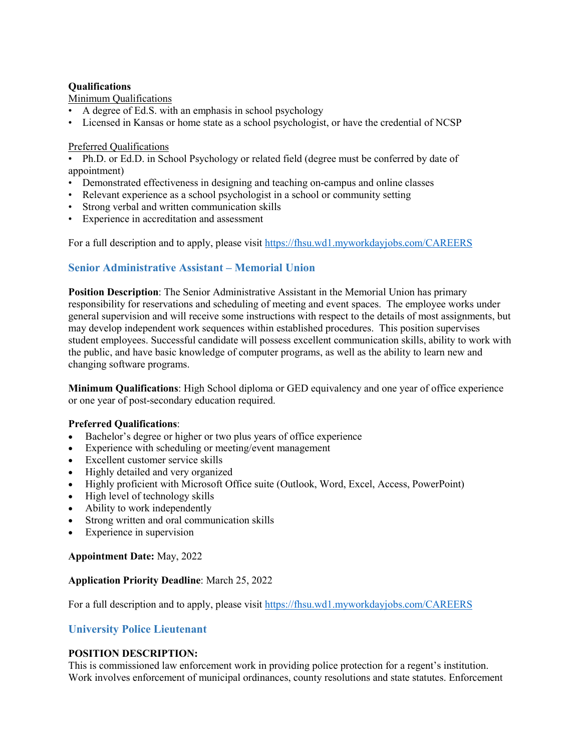### **Qualifications**

### Minimum Qualifications

- A degree of Ed.S. with an emphasis in school psychology
- Licensed in Kansas or home state as a school psychologist, or have the credential of NCSP

### Preferred Qualifications

• Ph.D. or Ed.D. in School Psychology or related field (degree must be conferred by date of appointment)

- Demonstrated effectiveness in designing and teaching on-campus and online classes
- Relevant experience as a school psychologist in a school or community setting
- Strong verbal and written communication skills
- Experience in accreditation and assessment

For a full description and to apply, please visit<https://fhsu.wd1.myworkdayjobs.com/CAREERS>

# <span id="page-15-0"></span>**Senior Administrative Assistant – Memorial Union**

**Position Description**: The Senior Administrative Assistant in the Memorial Union has primary responsibility for reservations and scheduling of meeting and event spaces. The employee works under general supervision and will receive some instructions with respect to the details of most assignments, but may develop independent work sequences within established procedures. This position supervises student employees. Successful candidate will possess excellent communication skills, ability to work with the public, and have basic knowledge of computer programs, as well as the ability to learn new and changing software programs.

**Minimum Qualifications**: High School diploma or GED equivalency and one year of office experience or one year of post-secondary education required.

### **Preferred Qualifications**:

- Bachelor's degree or higher or two plus years of office experience
- Experience with scheduling or meeting/event management
- Excellent customer service skills
- Highly detailed and very organized
- Highly proficient with Microsoft Office suite (Outlook, Word, Excel, Access, PowerPoint)
- High level of technology skills
- Ability to work independently
- Strong written and oral communication skills
- Experience in supervision

# **Appointment Date:** May, 2022

### **Application Priority Deadline**: March 25, 2022

For a full description and to apply, please visit<https://fhsu.wd1.myworkdayjobs.com/CAREERS>

# <span id="page-15-1"></span>**University Police Lieutenant**

# **POSITION DESCRIPTION:**

This is commissioned law enforcement work in providing police protection for a regent's institution. Work involves enforcement of municipal ordinances, county resolutions and state statutes. Enforcement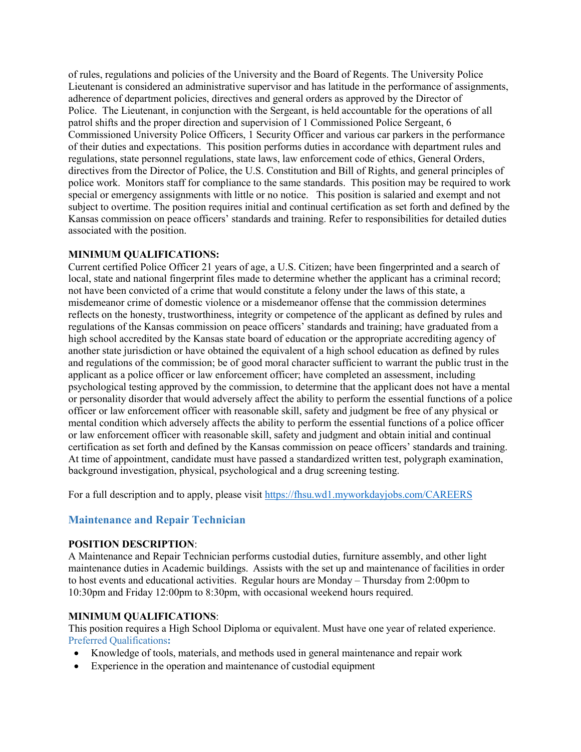of rules, regulations and policies of the University and the Board of Regents. The University Police Lieutenant is considered an administrative supervisor and has latitude in the performance of assignments, adherence of department policies, directives and general orders as approved by the Director of Police. The Lieutenant, in conjunction with the Sergeant, is held accountable for the operations of all patrol shifts and the proper direction and supervision of 1 Commissioned Police Sergeant, 6 Commissioned University Police Officers, 1 Security Officer and various car parkers in the performance of their duties and expectations. This position performs duties in accordance with department rules and regulations, state personnel regulations, state laws, law enforcement code of ethics, General Orders, directives from the Director of Police, the U.S. Constitution and Bill of Rights, and general principles of police work. Monitors staff for compliance to the same standards. This position may be required to work special or emergency assignments with little or no notice. This position is salaried and exempt and not subject to overtime. The position requires initial and continual certification as set forth and defined by the Kansas commission on peace officers' standards and training. Refer to responsibilities for detailed duties associated with the position.

#### **MINIMUM QUALIFICATIONS:**

Current certified Police Officer 21 years of age, a U.S. Citizen; have been fingerprinted and a search of local, state and national fingerprint files made to determine whether the applicant has a criminal record; not have been convicted of a crime that would constitute a felony under the laws of this state, a misdemeanor crime of domestic violence or a misdemeanor offense that the commission determines reflects on the honesty, trustworthiness, integrity or competence of the applicant as defined by rules and regulations of the Kansas commission on peace officers' standards and training; have graduated from a high school accredited by the Kansas state board of education or the appropriate accrediting agency of another state jurisdiction or have obtained the equivalent of a high school education as defined by rules and regulations of the commission; be of good moral character sufficient to warrant the public trust in the applicant as a police officer or law enforcement officer; have completed an assessment, including psychological testing approved by the commission, to determine that the applicant does not have a mental or personality disorder that would adversely affect the ability to perform the essential functions of a police officer or law enforcement officer with reasonable skill, safety and judgment be free of any physical or mental condition which adversely affects the ability to perform the essential functions of a police officer or law enforcement officer with reasonable skill, safety and judgment and obtain initial and continual certification as set forth and defined by the Kansas commission on peace officers' standards and training. At time of appointment, candidate must have passed a standardized written test, polygraph examination, background investigation, physical, psychological and a drug screening testing.

For a full description and to apply, please visit<https://fhsu.wd1.myworkdayjobs.com/CAREERS>

# <span id="page-16-0"></span>**Maintenance and Repair Technician**

### **POSITION DESCRIPTION**:

A Maintenance and Repair Technician performs custodial duties, furniture assembly, and other light maintenance duties in Academic buildings. Assists with the set up and maintenance of facilities in order to host events and educational activities. Regular hours are Monday – Thursday from 2:00pm to 10:30pm and Friday 12:00pm to 8:30pm, with occasional weekend hours required.

### **MINIMUM QUALIFICATIONS**:

This position requires a High School Diploma or equivalent. Must have one year of related experience. Preferred Qualifications**:**

- Knowledge of tools, materials, and methods used in general maintenance and repair work
- Experience in the operation and maintenance of custodial equipment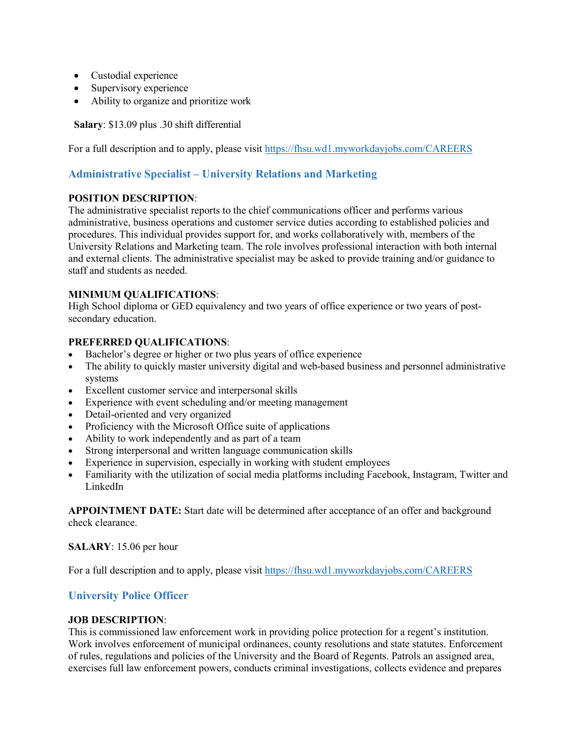- Custodial experience
- Supervisory experience
- Ability to organize and prioritize work

**Salary**: \$13.09 plus .30 shift differential

For a full description and to apply, please visit<https://fhsu.wd1.myworkdayjobs.com/CAREERS>

# <span id="page-17-0"></span>**Administrative Specialist – University Relations and Marketing**

### **POSITION DESCRIPTION**:

The administrative specialist reports to the chief communications officer and performs various administrative, business operations and customer service duties according to established policies and procedures. This individual provides support for, and works collaboratively with, members of the University Relations and Marketing team. The role involves professional interaction with both internal and external clients. The administrative specialist may be asked to provide training and/or guidance to staff and students as needed.

### **MINIMUM QUALIFICATIONS**:

High School diploma or GED equivalency and two years of office experience or two years of postsecondary education.

### **PREFERRED QUALIFICATIONS**:

- Bachelor's degree or higher or two plus years of office experience
- The ability to quickly master university digital and web-based business and personnel administrative systems
- Excellent customer service and interpersonal skills
- Experience with event scheduling and/or meeting management
- Detail-oriented and very organized
- Proficiency with the Microsoft Office suite of applications
- Ability to work independently and as part of a team
- Strong interpersonal and written language communication skills
- Experience in supervision, especially in working with student employees
- Familiarity with the utilization of social media platforms including Facebook, Instagram, Twitter and LinkedIn

**APPOINTMENT DATE:** Start date will be determined after acceptance of an offer and background check clearance.

**SALARY**: 15.06 per hour

For a full description and to apply, please visit<https://fhsu.wd1.myworkdayjobs.com/CAREERS>

# <span id="page-17-1"></span>**University Police Officer**

### **JOB DESCRIPTION**:

This is commissioned law enforcement work in providing police protection for a regent's institution. Work involves enforcement of municipal ordinances, county resolutions and state statutes. Enforcement of rules, regulations and policies of the University and the Board of Regents. Patrols an assigned area, exercises full law enforcement powers, conducts criminal investigations, collects evidence and prepares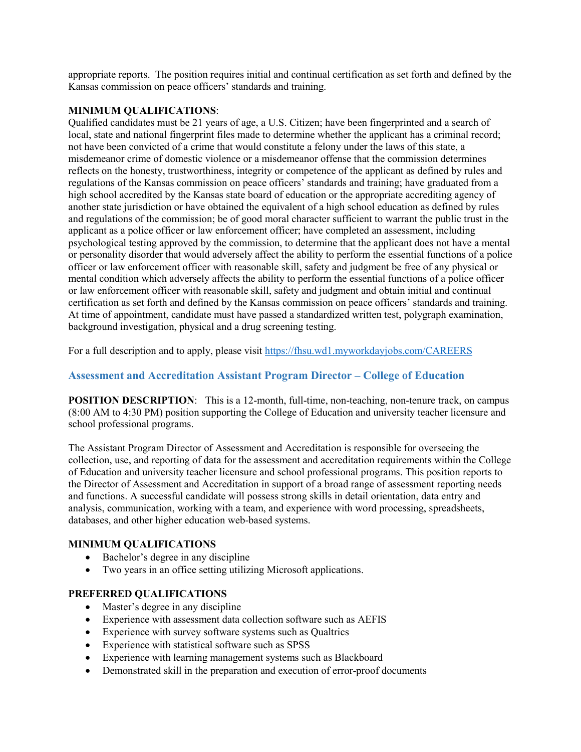appropriate reports. The position requires initial and continual certification as set forth and defined by the Kansas commission on peace officers' standards and training.

### **MINIMUM QUALIFICATIONS**:

Qualified candidates must be 21 years of age, a U.S. Citizen; have been fingerprinted and a search of local, state and national fingerprint files made to determine whether the applicant has a criminal record; not have been convicted of a crime that would constitute a felony under the laws of this state, a misdemeanor crime of domestic violence or a misdemeanor offense that the commission determines reflects on the honesty, trustworthiness, integrity or competence of the applicant as defined by rules and regulations of the Kansas commission on peace officers' standards and training; have graduated from a high school accredited by the Kansas state board of education or the appropriate accrediting agency of another state jurisdiction or have obtained the equivalent of a high school education as defined by rules and regulations of the commission; be of good moral character sufficient to warrant the public trust in the applicant as a police officer or law enforcement officer; have completed an assessment, including psychological testing approved by the commission, to determine that the applicant does not have a mental or personality disorder that would adversely affect the ability to perform the essential functions of a police officer or law enforcement officer with reasonable skill, safety and judgment be free of any physical or mental condition which adversely affects the ability to perform the essential functions of a police officer or law enforcement officer with reasonable skill, safety and judgment and obtain initial and continual certification as set forth and defined by the Kansas commission on peace officers' standards and training. At time of appointment, candidate must have passed a standardized written test, polygraph examination, background investigation, physical and a drug screening testing.

For a full description and to apply, please visit<https://fhsu.wd1.myworkdayjobs.com/CAREERS>

### <span id="page-18-0"></span>**Assessment and Accreditation Assistant Program Director – College of Education**

**POSITION DESCRIPTION:** This is a 12-month, full-time, non-teaching, non-tenure track, on campus (8:00 AM to 4:30 PM) position supporting the College of Education and university teacher licensure and school professional programs.

The Assistant Program Director of Assessment and Accreditation is responsible for overseeing the collection, use, and reporting of data for the assessment and accreditation requirements within the College of Education and university teacher licensure and school professional programs. This position reports to the Director of Assessment and Accreditation in support of a broad range of assessment reporting needs and functions. A successful candidate will possess strong skills in detail orientation, data entry and analysis, communication, working with a team, and experience with word processing, spreadsheets, databases, and other higher education web-based systems.

### **MINIMUM QUALIFICATIONS**

- Bachelor's degree in any discipline
- Two years in an office setting utilizing Microsoft applications.

#### **PREFERRED QUALIFICATIONS**

- Master's degree in any discipline
- Experience with assessment data collection software such as AEFIS
- Experience with survey software systems such as Qualtrics
- Experience with statistical software such as SPSS
- Experience with learning management systems such as Blackboard
- Demonstrated skill in the preparation and execution of error-proof documents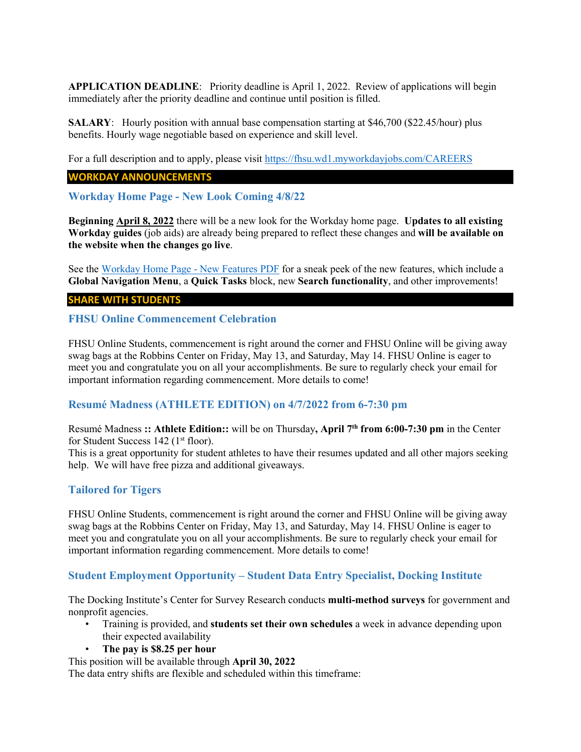**APPLICATION DEADLINE**: Priority deadline is April 1, 2022. Review of applications will begin immediately after the priority deadline and continue until position is filled.

**SALARY:** Hourly position with annual base compensation starting at \$46,700 (\$22.45/hour) plus benefits. Hourly wage negotiable based on experience and skill level.

For a full description and to apply, please visit<https://fhsu.wd1.myworkdayjobs.com/CAREERS>

#### **WORKDAY ANNOUNCEMENTS**

<span id="page-19-0"></span>**Workday Home Page - New Look Coming 4/8/22**

**Beginning April 8, 2022** there will be a new look for the Workday home page. **Updates to all existing Workday guides** (job aids) are already being prepared to reflect these changes and **will be available on the website when the changes go live**.

See the [Workday Home Page -](https://webapps.fhsu.edu/workdaydocumentation/default.aspx?category=EMPLOYEE%20USER%20GUIDES&document=Workday%20Home%20Page-New%20Features-2022-04-08.pdf) New Features PDF for a sneak peek of the new features, which include a **Global Navigation Menu**, a **Quick Tasks** block, new **Search functionality**, and other improvements!

#### **SHARE WITH STUDENTS**

#### <span id="page-19-1"></span>**FHSU Online Commencement Celebration**

FHSU Online Students, commencement is right around the corner and FHSU Online will be giving away swag bags at the Robbins Center on Friday, May 13, and Saturday, May 14. FHSU Online is eager to meet you and congratulate you on all your accomplishments. Be sure to regularly check your email for important information regarding commencement. More details to come!

### <span id="page-19-2"></span>**Resumé Madness (ATHLETE EDITION) on 4/7/2022 from 6-7:30 pm**

Resumé Madness **:: Athlete Edition::** will be on Thursday**, April 7th from 6:00-7:30 pm** in the Center for Student Success 142 (1<sup>st</sup> floor).

This is a great opportunity for student athletes to have their resumes updated and all other majors seeking help. We will have free pizza and additional giveaways.

# <span id="page-19-3"></span>**Tailored for Tigers**

FHSU Online Students, commencement is right around the corner and FHSU Online will be giving away swag bags at the Robbins Center on Friday, May 13, and Saturday, May 14. FHSU Online is eager to meet you and congratulate you on all your accomplishments. Be sure to regularly check your email for important information regarding commencement. More details to come!

# <span id="page-19-4"></span>**Student Employment Opportunity – Student Data Entry Specialist, Docking Institute**

The Docking Institute's Center for Survey Research conducts **multi-method surveys** for government and nonprofit agencies.

- Training is provided, and **students set their own schedules** a week in advance depending upon their expected availability
- **The pay is \$8.25 per hour**

This position will be available through **April 30, 2022**

The data entry shifts are flexible and scheduled within this timeframe: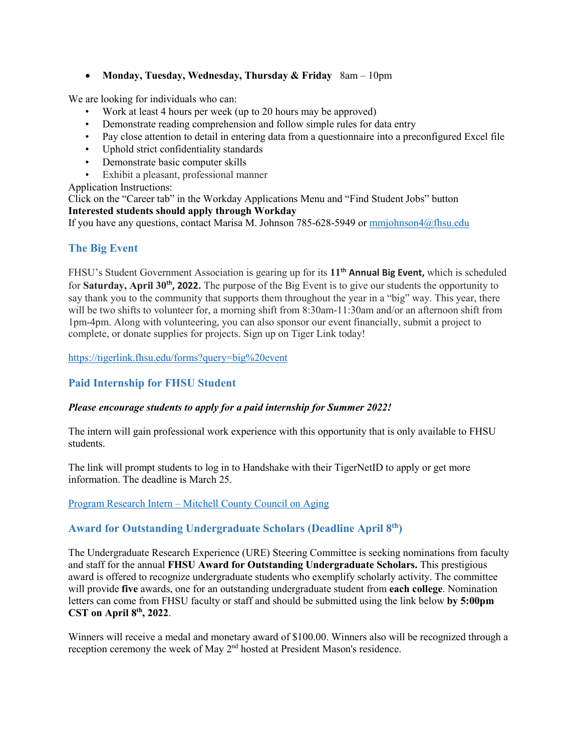# • **Monday, Tuesday, Wednesday, Thursday & Friday** 8am – 10pm

We are looking for individuals who can:

- Work at least 4 hours per week (up to 20 hours may be approved)
- Demonstrate reading comprehension and follow simple rules for data entry
- Pay close attention to detail in entering data from a questionnaire into a preconfigured Excel file
- Uphold strict confidentiality standards
- Demonstrate basic computer skills
- Exhibit a pleasant, professional manner

Application Instructions:

Click on the "Career tab" in the Workday Applications Menu and "Find Student Jobs" button **Interested students should apply through Workday**

If you have any questions, contact Marisa M. Johnson 785-628-5949 or [mmjohnson4@fhsu.edu](mailto:mmjohnson4@fhsu.edu)

# <span id="page-20-0"></span>**The Big Event**

FHSU's Student Government Association is gearing up for its **11th Annual Big Event,** which is scheduled for **Saturday, April 30th, 2022.** The purpose of the Big Event is to give our students the opportunity to say thank you to the community that supports them throughout the year in a "big" way. This year, there will be two shifts to volunteer for, a morning shift from 8:30am-11:30am and/or an afternoon shift from 1pm-4pm. Along with volunteering, you can also sponsor our event financially, submit a project to complete, or donate supplies for projects. Sign up on Tiger Link today!

<https://tigerlink.fhsu.edu/forms?query=big%20event>

# <span id="page-20-1"></span>**Paid Internship for FHSU Student**

### *Please encourage students to apply for a paid internship for Summer 2022!*

The intern will gain professional work experience with this opportunity that is only available to FHSU students.

The link will prompt students to log in to Handshake with their TigerNetID to apply or get more information. The deadline is March 25.

### Program Research Intern – [Mitchell County Council on Aging](https://fhsu.joinhandshake.com/jobs/6089280/share_preview)

# <span id="page-20-2"></span>**Award for Outstanding Undergraduate Scholars (Deadline April 8th)**

The Undergraduate Research Experience (URE) Steering Committee is seeking nominations from faculty and staff for the annual **FHSU Award for Outstanding Undergraduate Scholars.** This prestigious award is offered to recognize undergraduate students who exemplify scholarly activity. The committee will provide **five** awards, one for an outstanding undergraduate student from **each college**. Nomination letters can come from FHSU faculty or staff and should be submitted using the link below **by 5:00pm CST on April 8th, 2022**.

Winners will receive a medal and monetary award of \$100.00. Winners also will be recognized through a reception ceremony the week of May 2nd hosted at President Mason's residence.